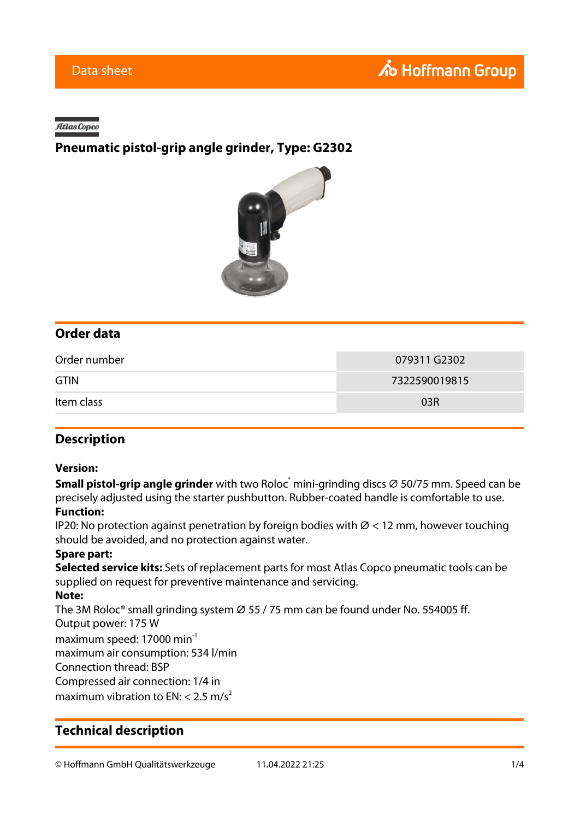#### Atlas Copco

## **Pneumatic pistol-grip angle grinder, Type: G2302**



## **Order data**

| Order number | 079311 G2302  |
|--------------|---------------|
| <b>GTIN</b>  | 7322590019815 |
| Item class   | 03R           |

### **Description**

#### **Version:**

**Small pistol-grip angle grinder** with two Roloc<sup>®</sup> mini-grinding discs ∅ 50/75 mm. Speed can be precisely adjusted using the starter pushbutton. Rubber-coated handle is comfortable to use. **Function:**

IP20: No protection against penetration by foreign bodies with  $\varnothing$  < 12 mm, however touching should be avoided, and no protection against water.

#### **Spare part:**

**Selected service kits:** Sets of replacement parts for most Atlas Copco pneumatic tools can be supplied on request for preventive maintenance and servicing.

#### **Note:**

The 3M Roloc<sup>®</sup> small grinding system  $\varnothing$  55 / 75 mm can be found under No. 554005 ff. Output power: 175 W maximum speed: 17000 min<sup>-1</sup>

maximum air consumption: 534 l/min

Connection thread: BSP Compressed air connection: 1/4 in

maximum vibration to EN:  $<$  2.5 m/s<sup>2</sup>

## **Technical description**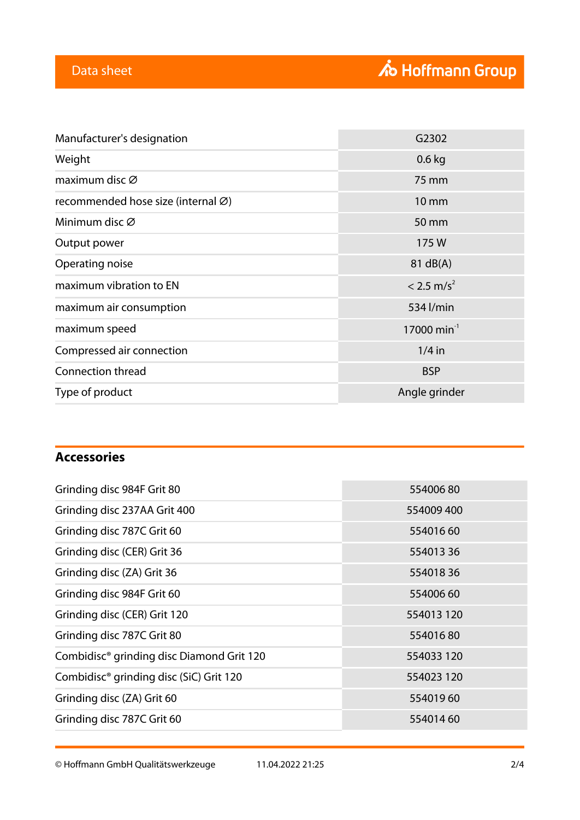| Manufacturer's designation         | G2302                     |
|------------------------------------|---------------------------|
| Weight                             | $0.6$ kg                  |
| maximum disc Ø                     | 75 mm                     |
| recommended hose size (internal Ø) | <b>10 mm</b>              |
| Minimum disc $\varnothing$         | 50 mm                     |
| Output power                       | 175W                      |
| Operating noise                    | 81 dB(A)                  |
| maximum vibration to EN            | $< 2.5$ m/s <sup>2</sup>  |
| maximum air consumption            | 534 l/min                 |
| maximum speed                      | $17000$ min <sup>-1</sup> |
| Compressed air connection          | $1/4$ in                  |
| Connection thread                  | <b>BSP</b>                |
| Type of product                    | Angle grinder             |
|                                    |                           |

# **Accessories**

| Grinding disc 984F Grit 80                            | 55400680   |
|-------------------------------------------------------|------------|
| Grinding disc 237AA Grit 400                          | 554009 400 |
| Grinding disc 787C Grit 60                            | 55401660   |
| Grinding disc (CER) Grit 36                           | 55401336   |
| Grinding disc (ZA) Grit 36                            | 55401836   |
| Grinding disc 984F Grit 60                            | 55400660   |
| Grinding disc (CER) Grit 120                          | 554013 120 |
| Grinding disc 787C Grit 80                            | 55401680   |
| Combidisc <sup>®</sup> grinding disc Diamond Grit 120 | 554033 120 |
| Combidisc <sup>®</sup> grinding disc (SiC) Grit 120   | 554023 120 |
| Grinding disc (ZA) Grit 60                            | 55401960   |
| Grinding disc 787C Grit 60                            | 55401460   |

© Hoffmann GmbH Qualitätswerkzeuge 11.04.2022 21:25 2/4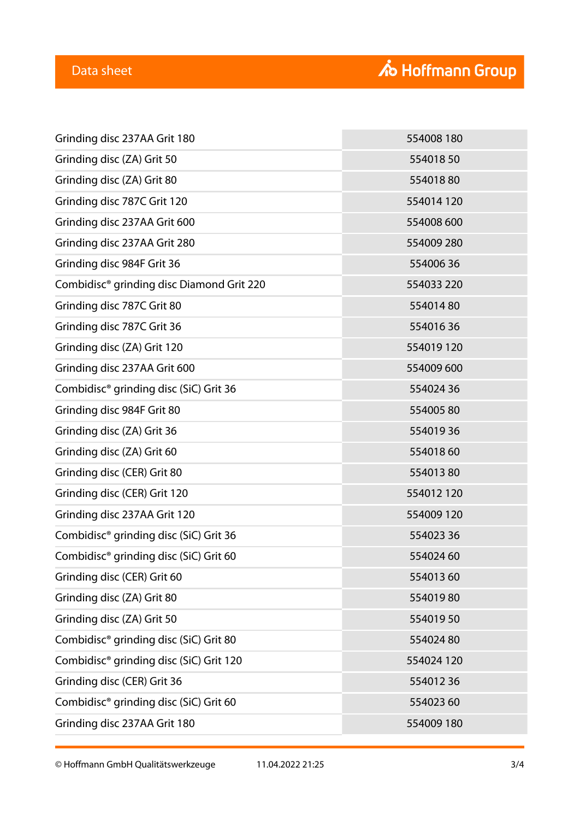| Grinding disc 237AA Grit 180                          | 554008 180 |
|-------------------------------------------------------|------------|
| Grinding disc (ZA) Grit 50                            | 55401850   |
| Grinding disc (ZA) Grit 80                            | 55401880   |
| Grinding disc 787C Grit 120                           | 554014 120 |
| Grinding disc 237AA Grit 600                          | 554008 600 |
| Grinding disc 237AA Grit 280                          | 554009 280 |
| Grinding disc 984F Grit 36                            | 55400636   |
| Combidisc <sup>®</sup> grinding disc Diamond Grit 220 | 554033 220 |
| Grinding disc 787C Grit 80                            | 55401480   |
| Grinding disc 787C Grit 36                            | 55401636   |
| Grinding disc (ZA) Grit 120                           | 554019120  |
| Grinding disc 237AA Grit 600                          | 554009 600 |
| Combidisc <sup>®</sup> grinding disc (SiC) Grit 36    | 55402436   |
| Grinding disc 984F Grit 80                            | 55400580   |
| Grinding disc (ZA) Grit 36                            | 55401936   |
| Grinding disc (ZA) Grit 60                            | 55401860   |
| Grinding disc (CER) Grit 80                           | 55401380   |
| Grinding disc (CER) Grit 120                          | 554012 120 |
| Grinding disc 237AA Grit 120                          | 554009 120 |
| Combidisc <sup>®</sup> grinding disc (SiC) Grit 36    | 55402336   |
| Combidisc <sup>®</sup> grinding disc (SiC) Grit 60    | 55402460   |
| Grinding disc (CER) Grit 60                           | 55401360   |
| Grinding disc (ZA) Grit 80                            | 55401980   |
| Grinding disc (ZA) Grit 50                            | 55401950   |
| Combidisc <sup>®</sup> grinding disc (SiC) Grit 80    | 55402480   |
| Combidisc <sup>®</sup> grinding disc (SiC) Grit 120   | 554024 120 |
| Grinding disc (CER) Grit 36                           | 55401236   |
| Combidisc <sup>®</sup> grinding disc (SiC) Grit 60    | 55402360   |
| Grinding disc 237AA Grit 180                          | 554009 180 |
|                                                       |            |

© Hoffmann GmbH Qualitätswerkzeuge 11.04.2022 21:25 3/4